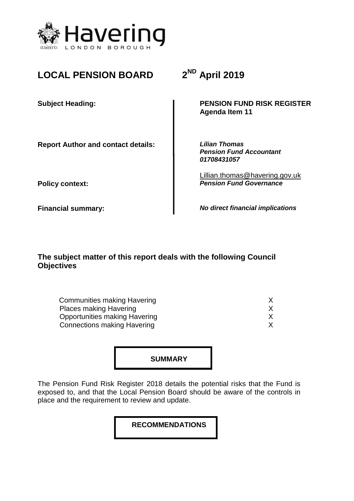

# **LOCAL PENSION BOARD**

**Report Author and contact details:** *Lilian Thomas*

**ND April 2019**

**Subject Heading: PENSION FUND RISK REGISTER Agenda Item 11**

> *Pension Fund Accountant 01708431057*

Lillian.thomas@havering.gov.uk **Policy context:** *Pension Fund Governance* 

**Financial summary:** *No direct financial implications*

**The subject matter of this report deals with the following Council Objectives**

**Communities making Havering Way and School School School School School School School School School School School School School School School School School School School School School School School School School School Sch** Places making Havering **X** X **Opportunities making Havering Theory Control Control Control Control Control Control Control Control Control Control Control Control Control Control Control Control Control Control Control Control Control Control Control Connections making Havering The Connections making Havering X** 

**SUMMARY**

The Pension Fund Risk Register 2018 details the potential risks that the Fund is exposed to, and that the Local Pension Board should be aware of the controls in place and the requirement to review and update.

**RECOMMENDATIONS**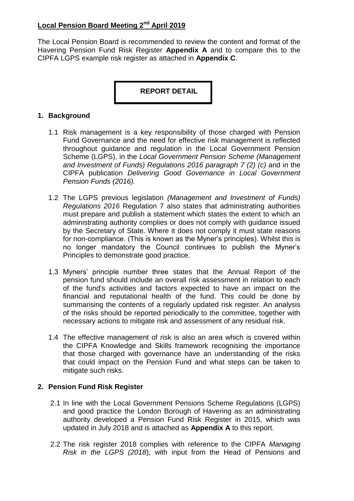The Local Pension Board is recommended to review the content and format of the Havering Pension Fund Risk Register **Appendix A** and to compare this to the CIPFA LGPS example risk register as attached in **Appendix C**.

### **REPORT DETAIL**

#### **1. Background**

- 1.1 Risk management is a key responsibility of those charged with Pension Fund Governance and the need for effective risk management is reflected throughout guidance and regulation in the Local Government Pension Scheme (LGPS), in the *Local Government Pension Scheme (Management and Investment of Funds) Regulations 2016 paragraph 7 (2) (c)* and in the CIPFA publication *Delivering Good Governance in Local Government Pension Funds (2016).*
- 1.2 The LGPS previous legislation *(Management and Investment of Funds) Regulations 2016* Regulation 7 also states that administrating authorities must prepare and publish a statement which states the extent to which an administrating authority complies or does not comply with guidance issued by the Secretary of State. Where it does not comply it must state reasons for non-compliance. (This is known as the Myner's principles). Whilst this is no longer mandatory the Council continues to publish the Myner's Principles to demonstrate good practice.
- 1.3 Myners' principle number three states that the Annual Report of the pension fund should include an overall risk assessment in relation to each of the fund's activities and factors expected to have an impact on the financial and reputational health of the fund. This could be done by summarising the contents of a regularly updated risk register. An analysis of the risks should be reported periodically to the committee, together with necessary actions to mitigate risk and assessment of any residual risk.
- 1.4 The effective management of risk is also an area which is covered within the CIPFA Knowledge and Skills framework recognising the importance that those charged with governance have an understanding of the risks that could impact on the Pension Fund and what steps can be taken to mitigate such risks.

#### **2. Pension Fund Risk Register**

- 2.1 In line with the Local Government Pensions Scheme Regulations (LGPS) and good practice the London Borough of Havering as an administrating authority developed a Pension Fund Risk Register in 2015, which was updated in July 2018 and is attached as **Appendix A** to this report.
- 2.2 The risk register 2018 complies with reference to the CIPFA *Managing Risk in the LGPS (2018*), with input from the Head of Pensions and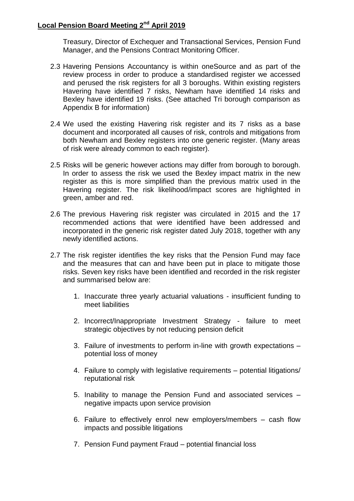Treasury, Director of Exchequer and Transactional Services, Pension Fund Manager, and the Pensions Contract Monitoring Officer.

- 2.3 Havering Pensions Accountancy is within oneSource and as part of the review process in order to produce a standardised register we accessed and perused the risk registers for all 3 boroughs. Within existing registers Havering have identified 7 risks, Newham have identified 14 risks and Bexley have identified 19 risks. (See attached Tri borough comparison as Appendix B for information)
- 2.4 We used the existing Havering risk register and its 7 risks as a base document and incorporated all causes of risk, controls and mitigations from both Newham and Bexley registers into one generic register. (Many areas of risk were already common to each register).
- 2.5 Risks will be generic however actions may differ from borough to borough. In order to assess the risk we used the Bexley impact matrix in the new register as this is more simplified than the previous matrix used in the Havering register. The risk likelihood/impact scores are highlighted in green, amber and red.
- 2.6 The previous Havering risk register was circulated in 2015 and the 17 recommended actions that were identified have been addressed and incorporated in the generic risk register dated July 2018, together with any newly identified actions.
- 2.7 The risk register identifies the key risks that the Pension Fund may face and the measures that can and have been put in place to mitigate those risks. Seven key risks have been identified and recorded in the risk register and summarised below are:
	- 1. Inaccurate three yearly actuarial valuations insufficient funding to meet liabilities
	- 2. Incorrect/Inappropriate Investment Strategy failure to meet strategic objectives by not reducing pension deficit
	- 3. Failure of investments to perform in-line with growth expectations potential loss of money
	- 4. Failure to comply with legislative requirements potential litigations/ reputational risk
	- 5. Inability to manage the Pension Fund and associated services negative impacts upon service provision
	- 6. Failure to effectively enrol new employers/members cash flow impacts and possible litigations
	- 7. Pension Fund payment Fraud potential financial loss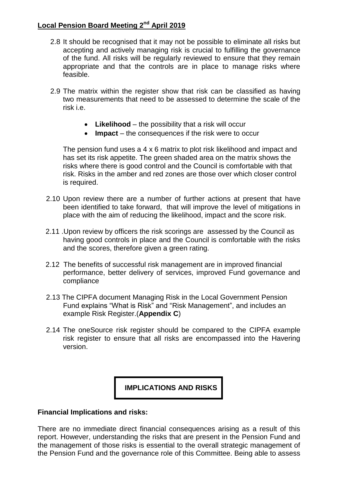- 2.8 It should be recognised that it may not be possible to eliminate all risks but accepting and actively managing risk is crucial to fulfilling the governance of the fund. All risks will be regularly reviewed to ensure that they remain appropriate and that the controls are in place to manage risks where feasible.
- 2.9 The matrix within the register show that risk can be classified as having two measurements that need to be assessed to determine the scale of the risk i.e.
	- **Likelihood**  the possibility that a risk will occur
	- **Impact** the consequences if the risk were to occur

The pension fund uses a 4 x 6 matrix to plot risk likelihood and impact and has set its risk appetite. The green shaded area on the matrix shows the risks where there is good control and the Council is comfortable with that risk. Risks in the amber and red zones are those over which closer control is required.

- 2.10 Upon review there are a number of further actions at present that have been identified to take forward, that will improve the level of mitigations in place with the aim of reducing the likelihood, impact and the score risk.
- 2.11 .Upon review by officers the risk scorings are assessed by the Council as having good controls in place and the Council is comfortable with the risks and the scores, therefore given a green rating.
- 2.12 The benefits of successful risk management are in improved financial performance, better delivery of services, improved Fund governance and compliance
- 2.13 The CIPFA document Managing Risk in the Local Government Pension Fund explains "What is Risk" and "Risk Management", and includes an example Risk Register.(**Appendix C**)
- 2.14 The oneSource risk register should be compared to the CIPFA example risk register to ensure that all risks are encompassed into the Havering version.

 **IMPLICATIONS AND RISKS**

#### **Financial Implications and risks:**

There are no immediate direct financial consequences arising as a result of this report. However, understanding the risks that are present in the Pension Fund and the management of those risks is essential to the overall strategic management of the Pension Fund and the governance role of this Committee. Being able to assess